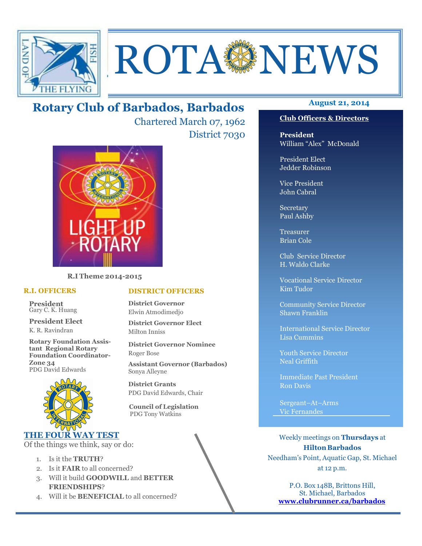

# **ROTA SENEWS**

## **August 21, 2014 Rotary Club of Barbados, Barbados**

Chartered March 07, 1962 District 7030



**R.I Theme 2014-2015** 

#### **R.I. OFFICERS**

**President** Gary C. K. Huang

**President Elect** K. R. Ravindran

**Rotary Foundation Assistant Regional Rotary Foundation Coordinator-Zone 34**  PDG David Edwards



#### **THE FOUR WAY TEST**

Of the things we think, say or do:

- 1. Is it the **TRUTH**?
- 2. Is it **FAIR** to all concerned?
- 3. Will it build **GOODWILL** and **BETTER FRIENDSHIPS**?
- 4. Will it be **BENEFICIAL** to all concerned?

#### **Club Officers & Directors**

**President** William "Alex" McDonald

President Elect Jedder Robinson

Vice President John Cabral

Secretary Paul Ashby

Treasurer Brian Cole

Club Service Director H. Waldo Clarke

Vocational Service Director Kim Tudor

Community Service Director Shawn Franklin

International Service Director Lisa Cummins

Youth Service Director Neal Griffith

Immediate Past President Ron Davis

Sergeant–At–Arms Vic Fernandes

Weekly meetings on **Thursdays** at **Hilton Barbados** Needham's Point, Aquatic Gap, St. Michael at 12 p.m.

P.O. Box 148B, Brittons Hill, St. Michael, Barbados **www.clubrunner.ca/barbados**

#### **DISTRICT OFFICERS**

**District Governor** Elwin Atmodimedjo

**District Governor Elect** Milton Inniss

**District Governor Nominee**  Roger Bose

**Assistant Governor (Barbados)** Sonya Alleyne

**District Grants**  PDG David Edwards, Chair

 **Council of Legislation**  PDG Tony Watkins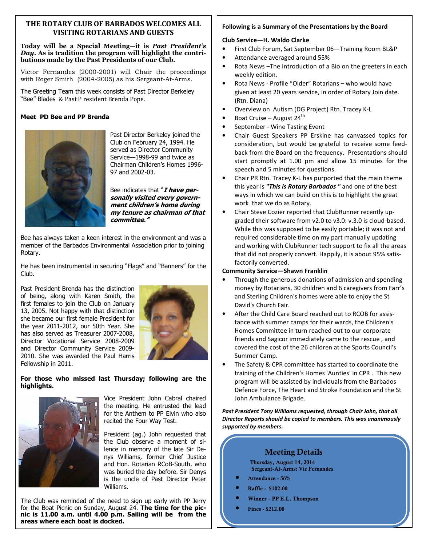#### **THE ROTARY CLUB OF BARBADOS WELCOMES ALL VISITING ROTARIANS AND GUESTS**

#### **Today will be a Special Meeting—it is** *Past President's Day***. As is tradition the program will highlight the contributions made by the Past Presidents of our Club.**

Victor Fernandes (2000-2001) will Chair the proceedings with Roger Smith (2004-2005) as his Sergeant-At-Arms.

The Greeting Team this week consists of Past Director Berkeley "Bee" Blades & Past P resident Brenda Pope.

#### **Meet PD Bee and PP Brenda**



Past Director Berkeley joined the Club on February 24, 1994. He served as Director Community Service—1998-99 and twice as Chairman Children's Homes 1996- 97 and 2002-03.

Bee indicates that "**I have personally visited every government children's home during my tenure as chairman of that committee."** 

Bee has always taken a keen interest in the environment and was a member of the Barbados Environmental Association prior to joining Rotary.

He has been instrumental in securing "Flags" and "Banners" for the Club.

Past President Brenda has the distinction of being, along with Karen Smith, the first females to join the Club on January 13, 2005. Not happy with that distinction she became our first female President for the year 2011-2012, our 50th Year. She has also served as Treasurer 2007-2008, Director Vocational Service 2008-2009 and Director Community Service 2009- 2010. She was awarded the Paul Harris Fellowship in 2011.



**For those who missed last Thursday; following are the highlights.** 



Vice President John Cabral chaired the meeting. He entrusted the lead for the Anthem to PP Elvin who also recited the Four Way Test.

President (ag.) John requested that the Club observe a moment of silence in memory of the late Sir Denys Williams, former Chief Justice and Hon. Rotarian RCoB-South, who was buried the day before. Sir Denys is the uncle of Past Director Peter Williams.

The Club was reminded of the need to sign up early with PP Jerry for the Boat Picnic on Sunday, August 24. **The time for the picnic is 11.00 a.m. until 4.00 p.m. Sailing will be from the areas where each boat is docked.** 

#### **Following is a Summary of the Presentations by the Board**

#### **Club Service—H. Waldo Clarke**

- First Club Forum, Sat September 06—Training Room BL&P
- Attendance averaged around 55%
- Rota News –The introduction of a Bio on the greeters in each weekly edition.
- Rota News Profile "Older" Rotarians who would have given at least 20 years service, in order of Rotary Join date. (Rtn. Diana)
- Overview on Autism (DG Project) Rtn. Tracey K-L
- Boat Cruise August 24<sup>th</sup>
- September Wine Tasting Event
- Chair Guest Speakers PP Erskine has canvassed topics for consideration, but would be grateful to receive some feedback from the Board on the frequency. Presentations should start promptly at 1.00 pm and allow 15 minutes for the speech and 5 minutes for questions.
- Chair PR Rtn. Tracey K-L has purported that the main theme this year is *"This is Rotary Barbados "* and one of the best ways in which we can build on this is to highlight the great work that we do as Rotary.
- Chair Steve Cozier reported that ClubRunner recently upgraded their software from v2.0 to v3.0: v.3.0 is cloud-based. While this was supposed to be easily portable; it was not and required considerable time on my part manually updating and working with ClubRunner tech support to fix all the areas that did not properly convert. Happily, it is about 95% satisfactorily converted.

#### **Community Service—Shawn Franklin**

- Through the generous donations of admission and spending money by Rotarians, 30 children and 6 caregivers from Farr's and Sterling Children's homes were able to enjoy the St David's Church Fair.
- After the Child Care Board reached out to RCOB for assistance with summer camps for their wards, the Children's Homes Committee in turn reached out to our corporate friends and Sagicor immediately came to the rescue , and covered the cost of the 26 children at the Sports Council's Summer Camp.
- The Safety & CPR committee has started to coordinate the training of the Children's Homes 'Aunties' in CPR . This new program will be assisted by individuals from the Barbados Defence Force, The Heart and Stroke Foundation and the St John Ambulance Brigade.

*Past President Tony Williams requested, through Chair John, that all Director Reports should be copied to members. This was unanimously supported by members.* 

#### **Meeting Details**

**Thursday, August 14, 2014 Sergeant-At-Arms: Vic Fernandes** 

- **Attendance 56%**
- **Raffle \$102.00**
- **Winner PP E.L. Thompson**
- **Fines \$212.00**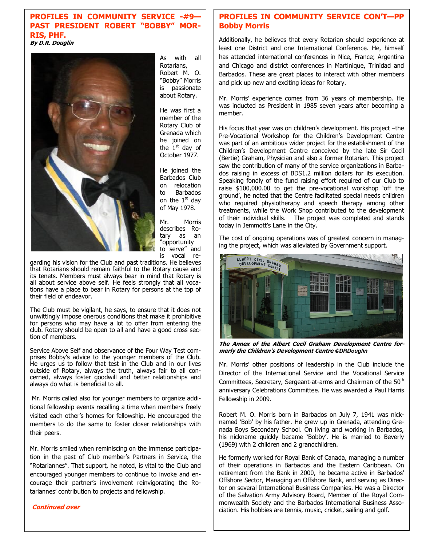#### **PROFILES IN COMMUNITY SERVICE -#9— PAST PRESIDENT ROBERT "BOBBY" MOR-RIS, PHF. By D.R. Douglin**



As with all Rotarians, Robert M. O. "Bobby" Morris is passionate about Rotary.

He was first a member of the Rotary Club of Grenada which he joined on the  $1<sup>st</sup>$  day of October 1977.

He joined the Barbados Club on relocation to Barbados on the  $1<sup>st</sup>$  day of May 1978.

Mr. Morris describes Ro-<br>tary as an tary as "opportunity to serve" and is vocal re-

garding his vision for the Club and past traditions. He believes that Rotarians should remain faithful to the Rotary cause and its tenets. Members must always bear in mind that Rotary is all about service above self. He feels strongly that all vocations have a place to bear in Rotary for persons at the top of their field of endeavor.

The Club must be vigilant, he says, to ensure that it does not unwittingly impose onerous conditions that make it prohibitive for persons who may have a lot to offer from entering the club. Rotary should be open to all and have a good cross section of members.

Service Above Self and observance of the Four Way Test comprises Bobby's advice to the younger members of the Club. He urges us to follow that test in the Club and in our lives outside of Rotary, always the truth, always fair to all concerned, always foster goodwill and better relationships and always do what is beneficial to all.

 Mr. Morris called also for younger members to organize additional fellowship events recalling a time when members freely visited each other's homes for fellowship. He encouraged the members to do the same to foster closer relationships with their peers.

Mr. Morris smiled when reminiscing on the immense participation in the past of Club member's Partners in Service, the "Rotariannes". That support, he noted, is vital to the Club and encouraged younger members to continue to invoke and encourage their partner's involvement reinvigorating the Rotariannes' contribution to projects and fellowship.

#### **Continued over**

#### **PROFILES IN COMMUNITY SERVICE CON'T—PP Bobby Morris**

Additionally, he believes that every Rotarian should experience at least one District and one International Conference. He, himself has attended international conferences in Nice, France; Argentina and Chicago and district conferences in Martinique, Trinidad and Barbados. These are great places to interact with other members and pick up new and exciting ideas for Rotary.

Mr. Morris' experience comes from 36 years of membership. He was inducted as President in 1985 seven years after becoming a member.

His focus that year was on children's development. His project –the Pre-Vocational Workshop for the Children's Development Centre was part of an ambitious wider project for the establishment of the Children's Development Centre conceived by the late Sir Cecil (Bertie) Graham, Physician and also a former Rotarian. This project saw the contribution of many of the service organizations in Barbados raising in excess of BDS1.2 million dollars for its execution. Speaking fondly of the fund raising effort required of our Club to raise \$100,000.00 to get the pre-vocational workshop 'off the ground', he noted that the Centre facilitated special needs children who required physiotherapy and speech therapy among other treatments, while the Work Shop contributed to the development of their individual skills. The project was completed and stands today in Jemmott's Lane in the City.

The cost of ongoing operations was of greatest concern in managing the project, which was alleviated by Government support.



**The Annex of the Albert Cecil Graham Development Centre formerly the Children's Development Centre ©DRDouglin**

Mr. Morris' other positions of leadership in the Club include the Director of the International Service and the Vocational Service Committees, Secretary, Sergeant-at-arms and Chairman of the 50<sup>th</sup> anniversary Celebrations Committee. He was awarded a Paul Harris Fellowship in 2009.

Robert M. O. Morris born in Barbados on July 7, 1941 was nicknamed 'Bob' by his father. He grew up in Grenada, attending Grenada Boys Secondary School. On living and working in Barbados, his nickname quickly became 'Bobby'. He is married to Beverly (1969) with 2 children and 2 grandchildren.

He formerly worked for Royal Bank of Canada, managing a number of their operations in Barbados and the Eastern Caribbean. On retirement from the Bank in 2000, he became active in Barbados' Offshore Sector, Managing an Offshore Bank, and serving as Director on several International Business Companies. He was a Director of the Salvation Army Advisory Board, Member of the Royal Commonwealth Society and the Barbados International Business Association. His hobbies are tennis, music, cricket, sailing and golf.